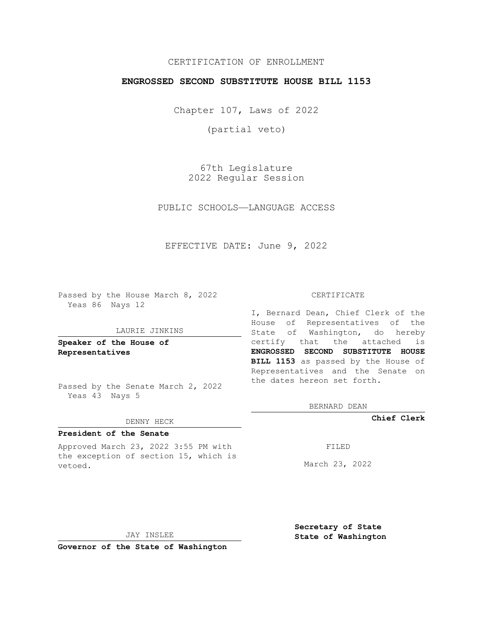## CERTIFICATION OF ENROLLMENT

### **ENGROSSED SECOND SUBSTITUTE HOUSE BILL 1153**

Chapter 107, Laws of 2022

(partial veto)

67th Legislature 2022 Regular Session

PUBLIC SCHOOLS—LANGUAGE ACCESS

EFFECTIVE DATE: June 9, 2022

Passed by the House March 8, 2022 Yeas 86 Nays 12

### LAURIE JINKINS

**Speaker of the House of Representatives**

Passed by the Senate March 2, 2022 Yeas 43 Nays 5

#### DENNY HECK

# **President of the Senate**

Approved March 23, 2022 3:55 PM with the exception of section 15, which is vetoed.

#### CERTIFICATE

I, Bernard Dean, Chief Clerk of the House of Representatives of the State of Washington, do hereby certify that the attached is **ENGROSSED SECOND SUBSTITUTE HOUSE BILL 1153** as passed by the House of Representatives and the Senate on the dates hereon set forth.

BERNARD DEAN

**Chief Clerk**

FILED

March 23, 2022

JAY INSLEE

**Governor of the State of Washington**

**Secretary of State State of Washington**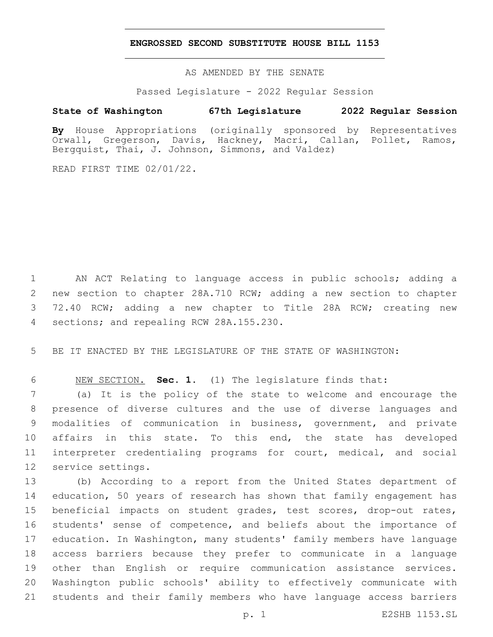### **ENGROSSED SECOND SUBSTITUTE HOUSE BILL 1153**

AS AMENDED BY THE SENATE

Passed Legislature - 2022 Regular Session

## **State of Washington 67th Legislature 2022 Regular Session**

**By** House Appropriations (originally sponsored by Representatives Orwall, Gregerson, Davis, Hackney, Macri, Callan, Pollet, Ramos, Bergquist, Thai, J. Johnson, Simmons, and Valdez)

READ FIRST TIME 02/01/22.

 AN ACT Relating to language access in public schools; adding a new section to chapter 28A.710 RCW; adding a new section to chapter 72.40 RCW; adding a new chapter to Title 28A RCW; creating new 4 sections; and repealing RCW 28A.155.230.

BE IT ENACTED BY THE LEGISLATURE OF THE STATE OF WASHINGTON:

NEW SECTION. **Sec. 1.** (1) The legislature finds that:

 (a) It is the policy of the state to welcome and encourage the presence of diverse cultures and the use of diverse languages and modalities of communication in business, government, and private affairs in this state. To this end, the state has developed interpreter credentialing programs for court, medical, and social 12 service settings.

 (b) According to a report from the United States department of education, 50 years of research has shown that family engagement has beneficial impacts on student grades, test scores, drop-out rates, students' sense of competence, and beliefs about the importance of education. In Washington, many students' family members have language access barriers because they prefer to communicate in a language other than English or require communication assistance services. Washington public schools' ability to effectively communicate with students and their family members who have language access barriers

p. 1 E2SHB 1153.SL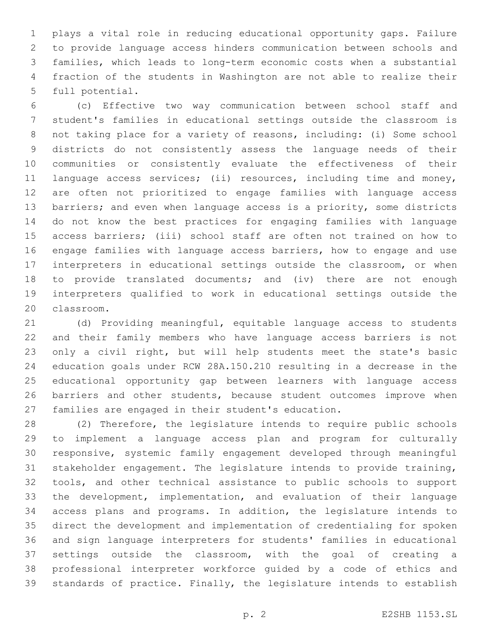plays a vital role in reducing educational opportunity gaps. Failure to provide language access hinders communication between schools and families, which leads to long-term economic costs when a substantial fraction of the students in Washington are not able to realize their 5 full potential.

 (c) Effective two way communication between school staff and student's families in educational settings outside the classroom is not taking place for a variety of reasons, including: (i) Some school districts do not consistently assess the language needs of their communities or consistently evaluate the effectiveness of their language access services; (ii) resources, including time and money, are often not prioritized to engage families with language access 13 barriers; and even when language access is a priority, some districts do not know the best practices for engaging families with language access barriers; (iii) school staff are often not trained on how to engage families with language access barriers, how to engage and use interpreters in educational settings outside the classroom, or when to provide translated documents; and (iv) there are not enough interpreters qualified to work in educational settings outside the 20 classroom.

 (d) Providing meaningful, equitable language access to students and their family members who have language access barriers is not only a civil right, but will help students meet the state's basic education goals under RCW 28A.150.210 resulting in a decrease in the educational opportunity gap between learners with language access 26 barriers and other students, because student outcomes improve when families are engaged in their student's education.

 (2) Therefore, the legislature intends to require public schools to implement a language access plan and program for culturally responsive, systemic family engagement developed through meaningful stakeholder engagement. The legislature intends to provide training, tools, and other technical assistance to public schools to support the development, implementation, and evaluation of their language access plans and programs. In addition, the legislature intends to direct the development and implementation of credentialing for spoken and sign language interpreters for students' families in educational settings outside the classroom, with the goal of creating a professional interpreter workforce guided by a code of ethics and standards of practice. Finally, the legislature intends to establish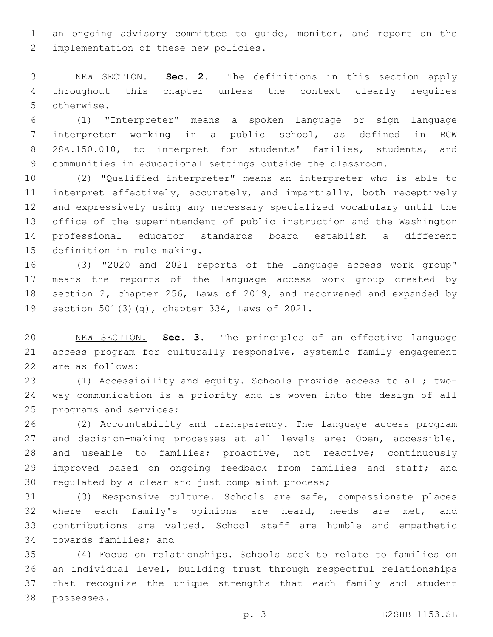an ongoing advisory committee to guide, monitor, and report on the 2 implementation of these new policies.

 NEW SECTION. **Sec. 2.** The definitions in this section apply throughout this chapter unless the context clearly requires otherwise.

 (1) "Interpreter" means a spoken language or sign language interpreter working in a public school, as defined in RCW 28A.150.010, to interpret for students' families, students, and communities in educational settings outside the classroom.

 (2) "Qualified interpreter" means an interpreter who is able to interpret effectively, accurately, and impartially, both receptively and expressively using any necessary specialized vocabulary until the office of the superintendent of public instruction and the Washington professional educator standards board establish a different 15 definition in rule making.

 (3) "2020 and 2021 reports of the language access work group" means the reports of the language access work group created by section 2, chapter 256, Laws of 2019, and reconvened and expanded by 19 section 501(3)(g), chapter 334, Laws of 2021.

 NEW SECTION. **Sec. 3.** The principles of an effective language access program for culturally responsive, systemic family engagement are as follows:

 (1) Accessibility and equity. Schools provide access to all; two- way communication is a priority and is woven into the design of all 25 programs and services;

 (2) Accountability and transparency. The language access program and decision-making processes at all levels are: Open, accessible, and useable to families; proactive, not reactive; continuously 29 improved based on ongoing feedback from families and staff; and 30 regulated by a clear and just complaint process;

 (3) Responsive culture. Schools are safe, compassionate places where each family's opinions are heard, needs are met, and contributions are valued. School staff are humble and empathetic 34 towards families; and

 (4) Focus on relationships. Schools seek to relate to families on an individual level, building trust through respectful relationships that recognize the unique strengths that each family and student possesses.38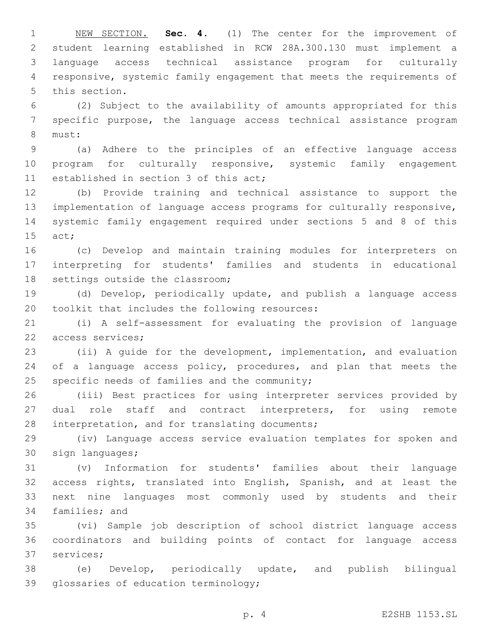NEW SECTION. **Sec. 4.** (1) The center for the improvement of student learning established in RCW 28A.300.130 must implement a language access technical assistance program for culturally responsive, systemic family engagement that meets the requirements of this section.

 (2) Subject to the availability of amounts appropriated for this specific purpose, the language access technical assistance program 8 must:

 (a) Adhere to the principles of an effective language access program for culturally responsive, systemic family engagement 11 established in section 3 of this act;

 (b) Provide training and technical assistance to support the implementation of language access programs for culturally responsive, systemic family engagement required under sections 5 and 8 of this 15 act;

 (c) Develop and maintain training modules for interpreters on interpreting for students' families and students in educational 18 settings outside the classroom;

 (d) Develop, periodically update, and publish a language access 20 toolkit that includes the following resources:

 (i) A self-assessment for evaluating the provision of language 22 access services;

 (ii) A guide for the development, implementation, and evaluation 24 of a language access policy, procedures, and plan that meets the specific needs of families and the community;

 (iii) Best practices for using interpreter services provided by 27 dual role staff and contract interpreters, for using remote 28 interpretation, and for translating documents;

 (iv) Language access service evaluation templates for spoken and 30 sign languages;

 (v) Information for students' families about their language access rights, translated into English, Spanish, and at least the next nine languages most commonly used by students and their 34 families; and

 (vi) Sample job description of school district language access coordinators and building points of contact for language access 37 services;

 (e) Develop, periodically update, and publish bilingual 39 glossaries of education terminology;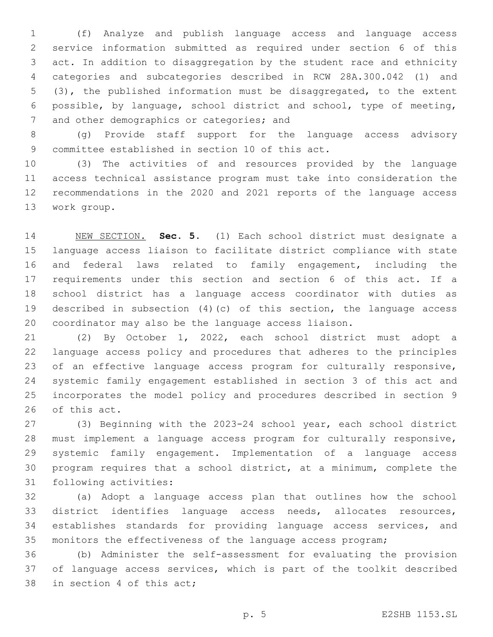(f) Analyze and publish language access and language access service information submitted as required under section 6 of this act. In addition to disaggregation by the student race and ethnicity categories and subcategories described in RCW 28A.300.042 (1) and (3), the published information must be disaggregated, to the extent possible, by language, school district and school, type of meeting, 7 and other demographics or categories; and

 (g) Provide staff support for the language access advisory 9 committee established in section 10 of this act.

 (3) The activities of and resources provided by the language access technical assistance program must take into consideration the recommendations in the 2020 and 2021 reports of the language access 13 work group.

 NEW SECTION. **Sec. 5.** (1) Each school district must designate a language access liaison to facilitate district compliance with state and federal laws related to family engagement, including the requirements under this section and section 6 of this act. If a school district has a language access coordinator with duties as described in subsection (4)(c) of this section, the language access coordinator may also be the language access liaison.

 (2) By October 1, 2022, each school district must adopt a language access policy and procedures that adheres to the principles of an effective language access program for culturally responsive, systemic family engagement established in section 3 of this act and incorporates the model policy and procedures described in section 9 26 of this act.

 (3) Beginning with the 2023-24 school year, each school district must implement a language access program for culturally responsive, systemic family engagement. Implementation of a language access program requires that a school district, at a minimum, complete the 31 following activities:

 (a) Adopt a language access plan that outlines how the school district identifies language access needs, allocates resources, establishes standards for providing language access services, and monitors the effectiveness of the language access program;

 (b) Administer the self-assessment for evaluating the provision of language access services, which is part of the toolkit described 38 in section 4 of this act;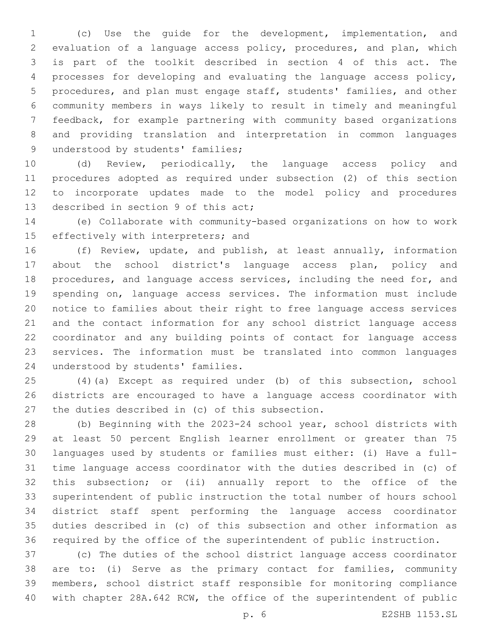(c) Use the guide for the development, implementation, and evaluation of a language access policy, procedures, and plan, which is part of the toolkit described in section 4 of this act. The processes for developing and evaluating the language access policy, procedures, and plan must engage staff, students' families, and other community members in ways likely to result in timely and meaningful feedback, for example partnering with community based organizations and providing translation and interpretation in common languages 9 understood by students' families;

 (d) Review, periodically, the language access policy and procedures adopted as required under subsection (2) of this section to incorporate updates made to the model policy and procedures 13 described in section 9 of this act;

 (e) Collaborate with community-based organizations on how to work 15 effectively with interpreters; and

 (f) Review, update, and publish, at least annually, information about the school district's language access plan, policy and procedures, and language access services, including the need for, and spending on, language access services. The information must include notice to families about their right to free language access services and the contact information for any school district language access coordinator and any building points of contact for language access services. The information must be translated into common languages 24 understood by students' families.

 (4)(a) Except as required under (b) of this subsection, school districts are encouraged to have a language access coordinator with 27 the duties described in (c) of this subsection.

 (b) Beginning with the 2023-24 school year, school districts with at least 50 percent English learner enrollment or greater than 75 languages used by students or families must either: (i) Have a full- time language access coordinator with the duties described in (c) of this subsection; or (ii) annually report to the office of the superintendent of public instruction the total number of hours school district staff spent performing the language access coordinator duties described in (c) of this subsection and other information as required by the office of the superintendent of public instruction.

 (c) The duties of the school district language access coordinator are to: (i) Serve as the primary contact for families, community members, school district staff responsible for monitoring compliance with chapter 28A.642 RCW, the office of the superintendent of public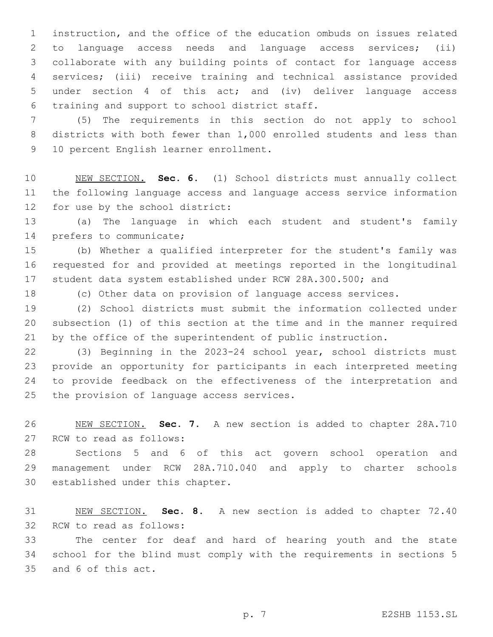instruction, and the office of the education ombuds on issues related to language access needs and language access services; (ii) collaborate with any building points of contact for language access services; (iii) receive training and technical assistance provided under section 4 of this act; and (iv) deliver language access 6 training and support to school district staff.

 (5) The requirements in this section do not apply to school districts with both fewer than 1,000 enrolled students and less than 9 10 percent English learner enrollment.

 NEW SECTION. **Sec. 6.** (1) School districts must annually collect the following language access and language access service information for use by the school district:

 (a) The language in which each student and student's family 14 prefers to communicate;

 (b) Whether a qualified interpreter for the student's family was requested for and provided at meetings reported in the longitudinal student data system established under RCW 28A.300.500; and

(c) Other data on provision of language access services.

 (2) School districts must submit the information collected under subsection (1) of this section at the time and in the manner required by the office of the superintendent of public instruction.

 (3) Beginning in the 2023-24 school year, school districts must provide an opportunity for participants in each interpreted meeting to provide feedback on the effectiveness of the interpretation and 25 the provision of language access services.

 NEW SECTION. **Sec. 7.** A new section is added to chapter 28A.710 27 RCW to read as follows:

 Sections 5 and 6 of this act govern school operation and management under RCW 28A.710.040 and apply to charter schools 30 established under this chapter.

 NEW SECTION. **Sec. 8.** A new section is added to chapter 72.40 32 RCW to read as follows:

 The center for deaf and hard of hearing youth and the state school for the blind must comply with the requirements in sections 5 35 and 6 of this act.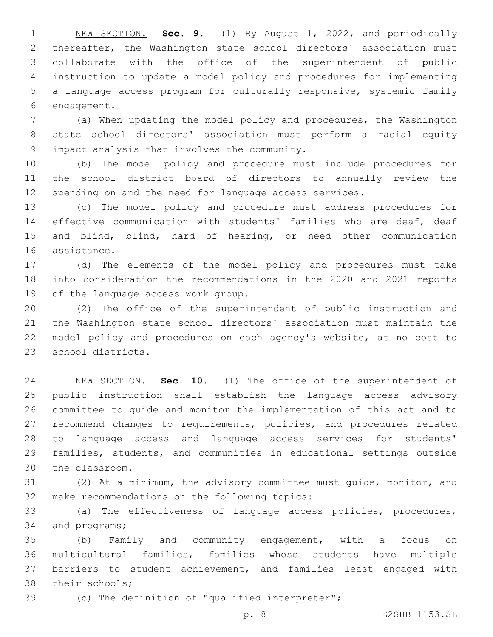NEW SECTION. **Sec. 9.** (1) By August 1, 2022, and periodically thereafter, the Washington state school directors' association must collaborate with the office of the superintendent of public instruction to update a model policy and procedures for implementing a language access program for culturally responsive, systemic family engagement.

 (a) When updating the model policy and procedures, the Washington state school directors' association must perform a racial equity impact analysis that involves the community.9

 (b) The model policy and procedure must include procedures for the school district board of directors to annually review the spending on and the need for language access services.

 (c) The model policy and procedure must address procedures for effective communication with students' families who are deaf, deaf and blind, blind, hard of hearing, or need other communication 16 assistance.

 (d) The elements of the model policy and procedures must take into consideration the recommendations in the 2020 and 2021 reports 19 of the language access work group.

 (2) The office of the superintendent of public instruction and the Washington state school directors' association must maintain the model policy and procedures on each agency's website, at no cost to 23 school districts.

 NEW SECTION. **Sec. 10.** (1) The office of the superintendent of public instruction shall establish the language access advisory committee to guide and monitor the implementation of this act and to recommend changes to requirements, policies, and procedures related to language access and language access services for students' families, students, and communities in educational settings outside the classroom.

 (2) At a minimum, the advisory committee must guide, monitor, and 32 make recommendations on the following topics:

 (a) The effectiveness of language access policies, procedures, 34 and programs;

 (b) Family and community engagement, with a focus on multicultural families, families whose students have multiple barriers to student achievement, and families least engaged with 38 their schools;

(c) The definition of "qualified interpreter";

p. 8 E2SHB 1153.SL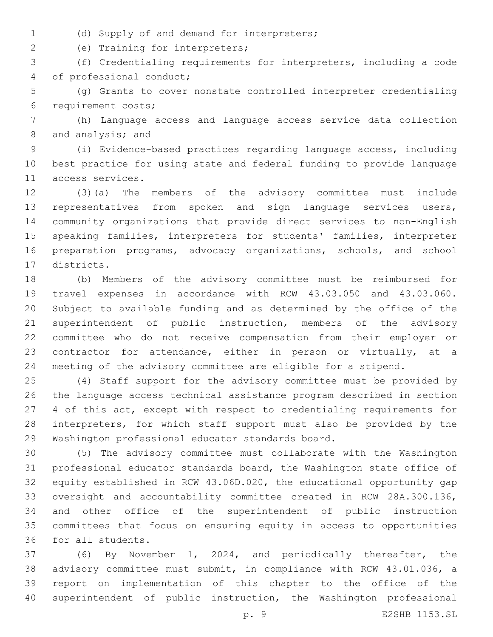- 
- (d) Supply of and demand for interpreters;1

(e) Training for interpreters;2

 (f) Credentialing requirements for interpreters, including a code 4 of professional conduct;

 (g) Grants to cover nonstate controlled interpreter credentialing 6 requirement costs;

 (h) Language access and language access service data collection 8 and analysis; and

 (i) Evidence-based practices regarding language access, including best practice for using state and federal funding to provide language 11 access services.

 (3)(a) The members of the advisory committee must include 13 representatives from spoken and sign language services users, community organizations that provide direct services to non-English speaking families, interpreters for students' families, interpreter preparation programs, advocacy organizations, schools, and school 17 districts.

 (b) Members of the advisory committee must be reimbursed for travel expenses in accordance with RCW 43.03.050 and 43.03.060. Subject to available funding and as determined by the office of the superintendent of public instruction, members of the advisory committee who do not receive compensation from their employer or contractor for attendance, either in person or virtually, at a meeting of the advisory committee are eligible for a stipend.

 (4) Staff support for the advisory committee must be provided by the language access technical assistance program described in section 4 of this act, except with respect to credentialing requirements for interpreters, for which staff support must also be provided by the 29 Washington professional educator standards board.

 (5) The advisory committee must collaborate with the Washington professional educator standards board, the Washington state office of equity established in RCW 43.06D.020, the educational opportunity gap oversight and accountability committee created in RCW 28A.300.136, and other office of the superintendent of public instruction committees that focus on ensuring equity in access to opportunities 36 for all students.

 (6) By November 1, 2024, and periodically thereafter, the advisory committee must submit, in compliance with RCW 43.01.036, a report on implementation of this chapter to the office of the superintendent of public instruction, the Washington professional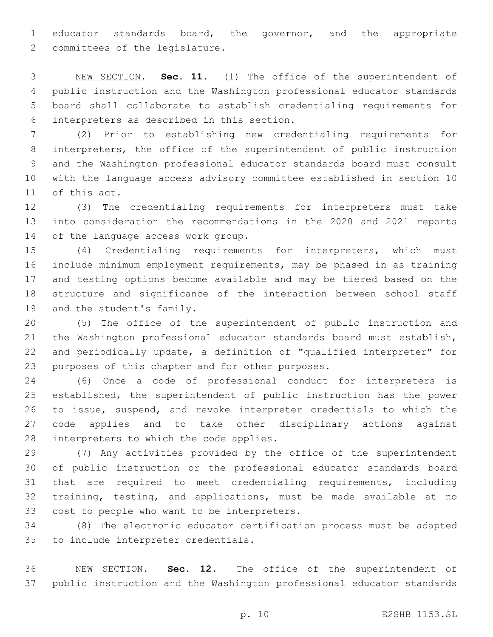educator standards board, the governor, and the appropriate 2 committees of the legislature.

 NEW SECTION. **Sec. 11.** (1) The office of the superintendent of public instruction and the Washington professional educator standards board shall collaborate to establish credentialing requirements for interpreters as described in this section.

 (2) Prior to establishing new credentialing requirements for interpreters, the office of the superintendent of public instruction and the Washington professional educator standards board must consult with the language access advisory committee established in section 10 11 of this act.

 (3) The credentialing requirements for interpreters must take into consideration the recommendations in the 2020 and 2021 reports 14 of the language access work group.

 (4) Credentialing requirements for interpreters, which must include minimum employment requirements, may be phased in as training and testing options become available and may be tiered based on the structure and significance of the interaction between school staff 19 and the student's family.

 (5) The office of the superintendent of public instruction and the Washington professional educator standards board must establish, and periodically update, a definition of "qualified interpreter" for 23 purposes of this chapter and for other purposes.

 (6) Once a code of professional conduct for interpreters is established, the superintendent of public instruction has the power to issue, suspend, and revoke interpreter credentials to which the code applies and to take other disciplinary actions against 28 interpreters to which the code applies.

 (7) Any activities provided by the office of the superintendent of public instruction or the professional educator standards board that are required to meet credentialing requirements, including training, testing, and applications, must be made available at no 33 cost to people who want to be interpreters.

 (8) The electronic educator certification process must be adapted 35 to include interpreter credentials.

 NEW SECTION. **Sec. 12.** The office of the superintendent of public instruction and the Washington professional educator standards